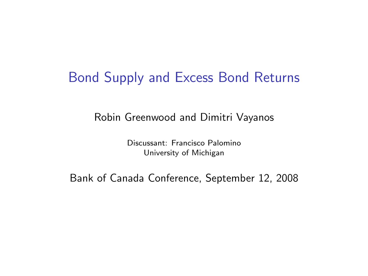#### Bond Supply and Excess Bond Returns

Robin Greenwood and Dimitri Vayanos

Discussant: Francisco Palomino University of Michigan

Bank of Canada Conference, September 12, 2008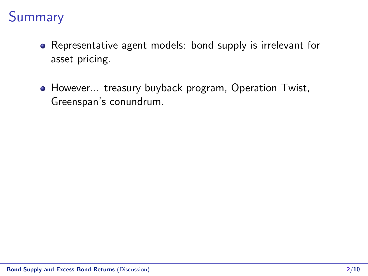# Summary

- Representative agent models: bond supply is irrelevant for asset pricing.
- However... treasury buyback program, Operation Twist, Greenspan's conundrum.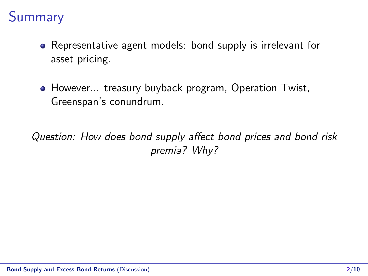# Summary

- Representative agent models: bond supply is irrelevant for asset pricing.
- However... treasury buyback program, Operation Twist, Greenspan's conundrum.

Question: How does bond supply affect bond prices and bond risk premia? Why?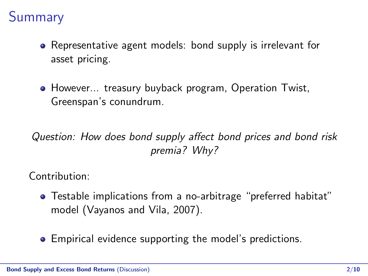## **Summary**

- Representative agent models: bond supply is irrelevant for asset pricing.
- However... treasury buyback program, Operation Twist, Greenspan's conundrum.

#### Question: How does bond supply affect bond prices and bond risk premia? Why?

Contribution:

- Testable implications from a no-arbitrage "preferred habitat" model (Vayanos and Vila, 2007).
- Empirical evidence supporting the model's predictions.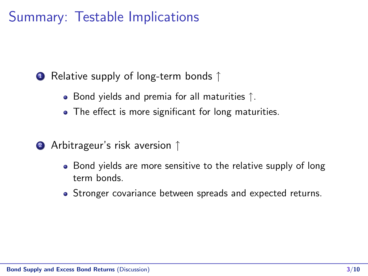### Summary: Testable Implications

<sup>1</sup> Relative supply of long-term bonds ↑

- Bond yields and premia for all maturities ↑.
- The effect is more significant for long maturities.
- <sup>2</sup> Arbitrageur's risk aversion ↑
	- Bond yields are more sensitive to the relative supply of long term bonds.
	- Stronger covariance between spreads and expected returns.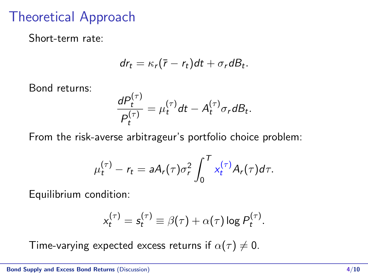### Theoretical Approach

Short-term rate:

$$
dr_t = \kappa_r(\bar{r} - r_t)dt + \sigma_r dB_t.
$$

Bond returns:

$$
\frac{dP_t^{(\tau)}}{P_t^{(\tau)}} = \mu_t^{(\tau)}dt - A_t^{(\tau)}\sigma_r dB_t.
$$

From the risk-averse arbitrageur's portfolio choice problem:

$$
\mu_t^{(\tau)} - r_t = aA_r(\tau)\sigma_r^2 \int_0^T x_t^{(\tau)} A_r(\tau) d\tau.
$$

Equilibrium condition:

$$
x_t^{(\tau)} = s_t^{(\tau)} \equiv \beta(\tau) + \alpha(\tau) \log P_t^{(\tau)}.
$$

Time-varying expected excess returns if  $\alpha(\tau) \neq 0$ .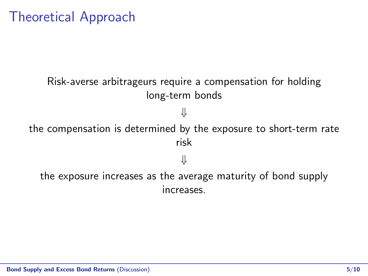### Theoretical Approach

### Risk-averse arbitrageurs require a compensation for holding long-term bonds ⇓ the compensation is determined by the exposure to short-term rate risk ⇓ the exposure increases as the average maturity of bond supply

increases.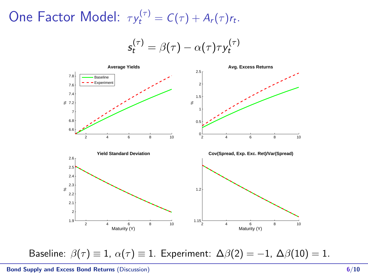One Factor Model:  $\tau y_t^{(\tau)} = C(\tau) + A_r(\tau) r_t$ .

$$
s_t^{(\tau)} = \beta(\tau) - \alpha(\tau)\tau y_t^{(\tau)}
$$



Baseline:  $\beta(\tau) \equiv 1$ ,  $\alpha(\tau) \equiv 1$ . Experiment:  $\Delta\beta(2) = -1$ ,  $\Delta\beta(10) = 1$ .

Bond Supply and Excess Bond Returns (Discussion) 6/10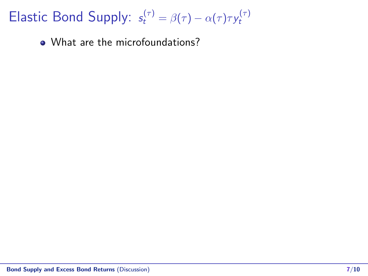Elastic Bond Supply:  $s_t^{(\tau)} = \beta(\tau) - \alpha(\tau)\tau y_t^{(\tau)}$ t

• What are the microfoundations?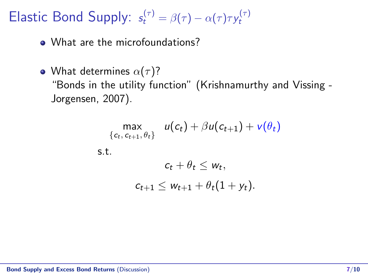Elastic Bond Supply:  $s_t^{(\tau)} = \beta(\tau) - \alpha(\tau)\tau y_t^{(\tau)}$ t

• What are the microfoundations?

• What determines  $\alpha(\tau)$ ? "Bonds in the utility function" (Krishnamurthy and Vissing - Jorgensen, 2007).

$$
\max_{\{c_t, c_{t+1}, \theta_t\}} u(c_t) + \beta u(c_{t+1}) + v(\theta_t)
$$
\ns.t.  
\n
$$
c_t + \theta_t \leq w_t,
$$
\n
$$
c_{t+1} \leq w_{t+1} + \theta_t(1 + y_t).
$$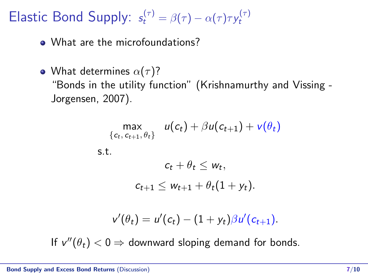Elastic Bond Supply:  $s_t^{(\tau)} = \beta(\tau) - \alpha(\tau)\tau y_t^{(\tau)}$ t

• What are the microfoundations?

• What determines  $\alpha(\tau)$ ? "Bonds in the utility function" (Krishnamurthy and Vissing - Jorgensen, 2007).

$$
\max_{\{c_t, c_{t+1}, \theta_t\}} u(c_t) + \beta u(c_{t+1}) + v(\theta_t)
$$
\ns.t.  
\n
$$
c_t + \theta_t \leq w_t,
$$
\n
$$
c_{t+1} \leq w_{t+1} + \theta_t(1 + y_t).
$$
\n
$$
v'(\theta_t) = u'(c_t) - (1 + y_t)\beta u'(c_{t+1}).
$$

If  $v''(\theta_t) < 0 \Rightarrow$  downward sloping demand for bonds.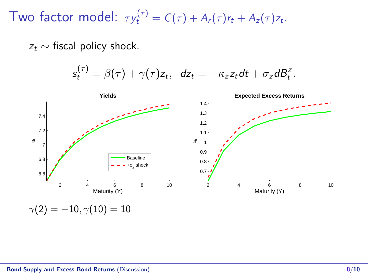Two factor model:  $\tau y_t^{(\tau)} = C(\tau) + A_r(\tau) r_t + A_z(\tau) z_t$ .

 $z_t \sim$  fiscal policy shock.

 $s_t^{(\tau)} = \beta(\tau) + \gamma(\tau)z_t$ ,  $dz_t = -\kappa_z z_t dt + \sigma_z dB_t^z$ .

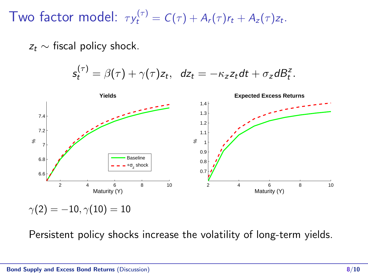Two factor model:  $\tau y_t^{(\tau)} = C(\tau) + A_r(\tau) r_t + A_z(\tau) z_t$ .

 $z_t \sim$  fiscal policy shock.

 $s_t^{(\tau)} = \beta(\tau) + \gamma(\tau)z_t$ ,  $dz_t = -\kappa_z z_t dt + \sigma_z dB_t^z$ .



Persistent policy shocks increase the volatility of long-term yields.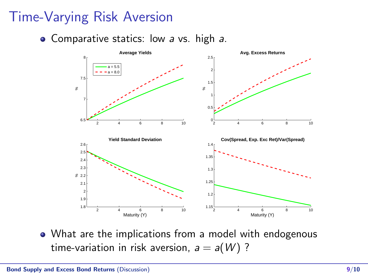# Time-Varying Risk Aversion

• Comparative statics: low a vs. high a.



What are the implications from a model with endogenous time-variation in risk aversion,  $a = a(W)$ ?